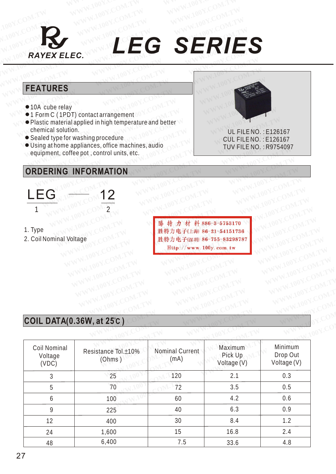

## *RAYEX ELEC. LEG SERIES* MON.COM.TW WWW.100Y.COM.TW WWW.100Y.COM WWW.100Y.COM.TW WWW.100Y.COM.TW WWW.100Y.COM.TW WWW.100Y.COM.TW WWW.100Y.COM.TW WWW.100Y.COM.TW WWW.COM.TW WWW.100Y.COM.TW WWW.100Y.COM.TW WWW.COM.TW WWW.100Y.COM.TW WWW.100Y.COM.TW WWW.100Y.COM.TW WWW.100Y.COM.TW WWW.100Y.COM.TW **W[WW.100Y.CO](Http://www.100y.com.tw)M.TW WWW.100Y.COM.TW COM.TW COM.TW COM.TW COM.TW COM.TW COM.TW COM.TW COM.TW COM.TW COM.TW COM.TW COM RAYEX ELEC.** LEG SERIE **WANTER LEG SERIE**<br> **FEATURES**<br> **EXAMPLES**<br> **EXAMPLES**<br> **EXAMPLES**<br> **EXAMPLES**<br> **EXAMPLES**<br> **EXAMPLES**<br> **EXAMPLES WEG SERIE.**<br> **WEG SERIE.**<br> **FEATURES**<br> **PLACTURES**<br> **PLACTURES**<br> **PLACTURE**<br> **PLACTURE**<br> **PLACTURE**<br> **PLACTURE**<br> **PLACTURE**<br> **PLACTURE**<br> **PLACTURE**<br> **PLACTURE**<br> **PLACTURE**

### **FEATURES**

- 10A cube relay
- ●1 Form C (1PDT) contact arrangement
- Plastic material applied in high temperature and better chemical solution. **WWW.100Y.COM.TW WWW.100Y.COM.TW WWW.100Y.COM.TW FEATURES**<br>
• 10A cube relay<br>
• 1 Form C (1PDT) contact arrangement<br>
• Plastic material applied in high temperature and better<br>
• Commical solution.<br>
• Sealed type for washing procedure<br>
• Using at home appliances, office **FEATURES**<br>
• 10A cube relay<br>
• 1 Form C (1PDT) contact arrangement<br>
• Plastic material applied in high temperature and better<br>
• Could FILE NO.<br>
• Sealed type for washing procedure<br>
• Using at home appliances, office mach **WEIGHT WARES**<br> **WEIGHT ACCESS (WEIGHT)** Contact arrangement<br> **WEIGHT ACCESS (WEIGHT)** Contact arrangement<br> **WEIGHT ACCESS (WEIGHT ACCESS AND ACCESS AND ACCESS AND ACCESS AND ACCESS AND ACCESS AND ACCESS AND ACCESS AND ACC EATURES**<br>
100 cube relay<br>
1 Form C (1PDT) contact arrangement<br>
Plastic material applied in high temperature and better<br>
chemical solution.<br>
Sealed type for washing procedure<br>
Using a thome appliances, office machines, aud **EXERCISE AND COMPUTER CONSIDERING INFORMATION**<br> **WANTAGE SETTING CONSIDERING INFORMATION**<br> **WANTAGE AND CONSIDERING INFORMATION**<br> **EXERING INFORMATION E**<br>
Matter (1PDT) contact arrangement<br>
stic material applied in high temperature and better<br>
emical solution.<br>
In alled type for washing procedure<br>
ing a thome appliances, office machines, audio<br>  $\begin{array}{ccc}\n & \text{UL FILE NO.: E12}\n\text$ 
	- Sealed type for washing procedure
	- Using at home appliances, office machines, audio equipment, coffee pot , control units, etc.

### **ORDERING INFORMATION**



- 1. Type
- 2. Coil Nominal Voltage

**NG INFORMATION NEW AND COMENT WWW.100Y.COM.TW RESPONSE COMPANY WWW.100Y.COM.TW WWW.100Y.COM.TW WWW.100Y.COM.TW** WAWW.100Y.COM.TW **AWWW.100Y.COM.TW B6-35-83298787** (WWW.100Y.COM.TW **WWW.100Y.COM.TW** (100Y.COM.TW )<br>
100Y.COM.TW **AWWW.100Y.COM.TW WWW.100Y.COM.TW**<br>
EXAMPLE COMPANY AND THESE COMENT WARD COMENT **WWW.100Y.COM.TW WWW.100Y.COM.TW WWW.100Y.COM.TW WWW.100Y.COM.TW WWW.100Y.COM.TW WWW.100Y.COM.TW** WWW.100Y.COM.TW WWW.100Y.COM.TW WWW.100Y.COM.TW WWW.100Y.COM.TW WWW.100Y.COM.TW WWW.100Y.COM.TW WWW.100Y.COM.TW WWW.100Y.COM.TW WWW.100Y.COM.TW WWW.100Y.COM.TW WWW.100Y.COM.TW WWW.100Y.COM.TW WWW.100Y.COM.TW WWW.100Y.COM. **藤精力材料86-3-5753170 WWW.100Y.COM.TW**<br>
WWW.100Y.COM.TW WWW.100Y.COM.TW WWW.100Y.COM.TW<br>
WWW.100Y.COM.TW WWW.100Y.COM.TW WWW.100Y.COM.TW<br>
WWW.100Y.COM.TW WWW.100Y.COM.TW WWW.100Y.COM.TW<br>
WWW.100Y.COM.TW WWW.100 EXCOMPTIN HONOR COMPTITE NEW WANTION COMPTITE NEW WARD COMPTITE NEW WARD NEW WARD NEW WARD NEW WARD NEW WARD NEW WARD NEW WARD NEW WARD NEW WARD NEW WARD NEW WARD NEW WARD NEW WARD NEW WARD NEW WARD NEW WARD NEW WARD NEW **W, at 25°C)** COMPANY AND WWW.100Y.COM.TW WWW.100Y.COM.TW WWW.100Y.COM.TW WWW.100Y.COM.TW WWW.100Y.COM.TW WWW.100Y.COM.TW WWW.100Y.COM.TW WWW.100Y.COM.TW WWW.100Y.COM.TW WWW.100Y.COM.TW WWW.100Y.COM.TW WWW.100Y.COM.TW WWW.

 UL FILE NO. : E126167 CUL FILE NO. : E 126167 TUV FILE NO. : R9754097

# **COIL DATA(0.36W, at 25°C )** W. 100Y.COM.TW WWW.100Y.COM.TW WWW.100Y.COM.TW WWW.100Y.COM.TW WWW.100Y.COM.TW WWW.100Y.COM.TW WWW.100Y.COM.TW WWW.100Y.COM.TW WWW.100Y.COM.TW WWW.100Y.COM.TW WWW.100Y.COM.TW WWW.100Y.COM.TW WWW.100Y.COM.TW WWW.100Y.COM.TW

|                                  | <b>COIL DATA(0.36W, at 25°C)</b> |                         |                                   |                                    |
|----------------------------------|----------------------------------|-------------------------|-----------------------------------|------------------------------------|
| Coil Nominal<br>Voltage<br>(VDC) | Resistance Tol.±10%<br>(Ohms)    | Nominal Current<br>(mA) | Maximum<br>Pick Up<br>Voltage (V) | Minimum<br>Drop Out<br>Voltage (V) |
| $\mathfrak{Z}$                   | 25                               | 120                     | 2.1                               | 0.3                                |
| 5                                | 70                               | 72                      | 3.5                               | 0.5                                |
| 6                                | 100                              | 60                      | 4.2                               | 0.6                                |
| $\overline{9}$                   | 225                              | 40                      | 6.3                               | 0.9                                |
| 12                               | 400                              | 30                      | 8.4                               | 1.2                                |
| 24                               | 1,600                            | 15                      | 16.8                              | 2.4                                |
| 48                               | 6,400                            | 7.5                     | 33.6                              | 4.8                                |